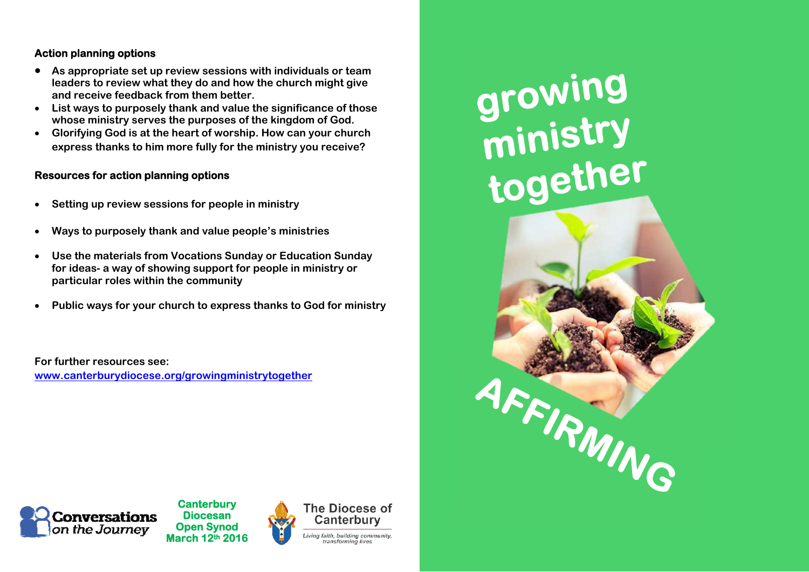#### **Action planning options**

- **As appropriate set up review sessions with individuals or team leaders to review what they do and how the church might give and receive feedback from them better.**
- **List ways to purposely thank and value the significance of those whose ministry serves the purposes of the kingdom of God.**
- **Glorifying God is at the heart of worship. How can your church express thanks to him more fully for the ministry you receive?**

#### **Resources for action planning options**

- $\bullet$ **Setting up review sessions for people in ministry**
- $\bullet$ **Ways to purposely thank and value people's ministries**
- $\bullet$  **Use the materials from Vocations Sunday or Education Sunday for ideas- a way of showing support for people in ministry or particular roles within the community**
- $\bullet$ **Public ways for your church to express thanks to God for ministry**

**For further resources see: www.canterburydiocese.org/growingministrytogether**





**Canterbury Diocesan Open Synod March 12th 2016**